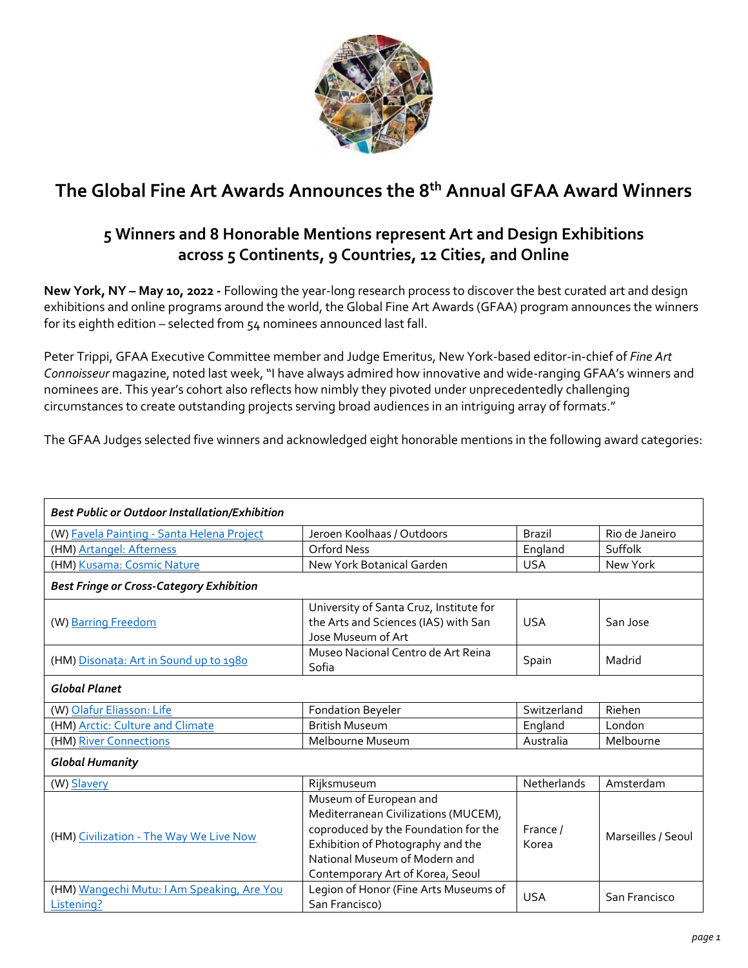

# **The Global Fine Art Awards Announces the 8 th Annual GFAA Award Winners**

# **5 Winners and 8 Honorable Mentions represent Art and Design Exhibitions across 5 Continents, 9 Countries, 12 Cities, and Online**

**New York, NY – May 10, 2022 -** Following the year-long research process to discover the best curated art and design exhibitions and online programs around the world, the Global Fine Art Awards (GFAA) program announces the winners for its eighth edition – selected from 54 nominees announced last fall.

Peter Trippi, GFAA Executive Committee member and Judge Emeritus, New York-based editor-in-chief of *Fine Art Connoisseur* magazine, noted last week, "I have always admired how innovative and wide-ranging GFAA's winners and nominees are. This year's cohort also reflects how nimbly they pivoted under unprecedentedly challenging circumstances to create outstanding projects serving broad audiences in an intriguing array of formats."

The GFAA Judges selected five winners and acknowledged eight honorable mentions in the following award categories:

| <b>Best Public or Outdoor Installation/Exhibition</b>    |                                                                                                                                                                                                                  |                   |                    |
|----------------------------------------------------------|------------------------------------------------------------------------------------------------------------------------------------------------------------------------------------------------------------------|-------------------|--------------------|
| (W) Favela Painting - Santa Helena Project               | Jeroen Koolhaas / Outdoors                                                                                                                                                                                       | <b>Brazil</b>     | Rio de Janeiro     |
| (HM) Artangel: Afterness                                 | Orford Ness                                                                                                                                                                                                      | England           | Suffolk            |
| (HM) Kusama: Cosmic Nature                               | New York Botanical Garden                                                                                                                                                                                        | <b>USA</b>        | New York           |
| <b>Best Fringe or Cross-Category Exhibition</b>          |                                                                                                                                                                                                                  |                   |                    |
| (W) Barring Freedom                                      | University of Santa Cruz, Institute for<br>the Arts and Sciences (IAS) with San<br>Jose Museum of Art                                                                                                            | <b>USA</b>        | San Jose           |
| (HM) Disonata: Art in Sound up to 1980                   | Museo Nacional Centro de Art Reina<br>Sofia                                                                                                                                                                      | Spain             | Madrid             |
| <b>Global Planet</b>                                     |                                                                                                                                                                                                                  |                   |                    |
| (W) Olafur Eliasson: Life                                | <b>Fondation Beyeler</b>                                                                                                                                                                                         | Switzerland       | Riehen             |
| (HM) Arctic: Culture and Climate                         | <b>British Museum</b>                                                                                                                                                                                            | England           | London             |
| (HM) River Connections                                   | Melbourne Museum                                                                                                                                                                                                 | Australia         | Melbourne          |
| <b>Global Humanity</b>                                   |                                                                                                                                                                                                                  |                   |                    |
| (W) Slavery                                              | Rijksmuseum                                                                                                                                                                                                      | Netherlands       | Amsterdam          |
| (HM) Civilization - The Way We Live Now                  | Museum of European and<br>Mediterranean Civilizations (MUCEM),<br>coproduced by the Foundation for the<br>Exhibition of Photography and the<br>National Museum of Modern and<br>Contemporary Art of Korea, Seoul | France /<br>Korea | Marseilles / Seoul |
| (HM) Wangechi Mutu: I Am Speaking, Are You<br>Listening? | Legion of Honor (Fine Arts Museums of<br>San Francisco)                                                                                                                                                          | <b>USA</b>        | San Francisco      |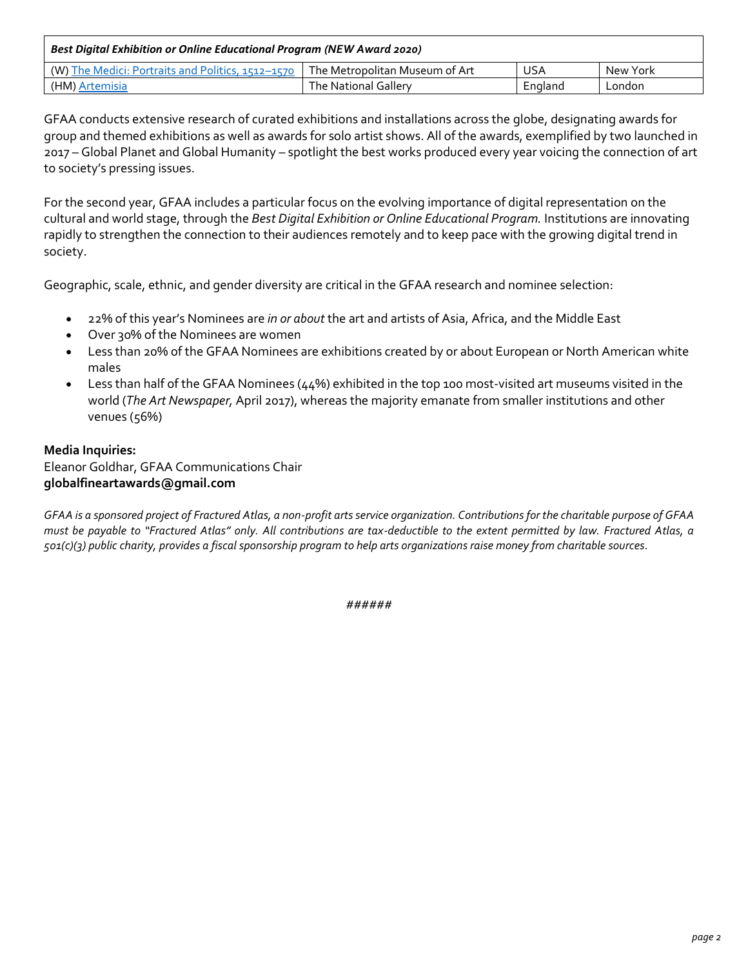| Best Digital Exhibition or Online Educational Program (NEW Award 2020) |                                  |         |          |  |
|------------------------------------------------------------------------|----------------------------------|---------|----------|--|
| (W) The Medici: Portraits and Politics, 1512–1570                      | l The Metropolitan Museum of Art | USA     | New York |  |
| (HM) Artemisia                                                         | The National Gallery             | England | London   |  |

GFAA conducts extensive research of curated exhibitions and installations across the globe, designating awards for group and themed exhibitions as well as awards for solo artist shows. All of the awards, exemplified by two launched in 2017 – Global Planet and Global Humanity – spotlight the best works produced every year voicing the connection of art to society's pressing issues.

For the second year, GFAA includes a particular focus on the evolving importance of digital representation on the cultural and world stage, through the *Best Digital Exhibition or Online Educational Program.* Institutions are innovating rapidly to strengthen the connection to their audiences remotely and to keep pace with the growing digital trend in society.

Geographic, scale, ethnic, and gender diversity are critical in the GFAA research and nominee selection:

- 22% of this year's Nominees are *in or about* the art and artists of Asia, Africa, and the Middle East
- Over 30% of the Nominees are women
- Less than 20% of the GFAA Nominees are exhibitions created by or about European or North American white males
- Less than half of the GFAA Nominees (44%) exhibited in the top 100 most-visited art museums visited in the world (*The Art Newspaper,* April 2017), whereas the majority emanate from smaller institutions and other venues (56%)

#### **Media Inquiries:** Eleanor Goldhar, GFAA Communications Chair

### **globalfineartawards@gmail.com**

*GFAA is a sponsored project of Fractured Atlas, a non-profit arts service organization. Contributions for the charitable purpose of GFAA must be payable to "Fractured Atlas" only. All contributions are tax-deductible to the extent permitted by law. Fractured Atlas, a 501(c)(3) public charity, provides a fiscal sponsorship program to help arts organizations raise money from charitable sources.*

*######*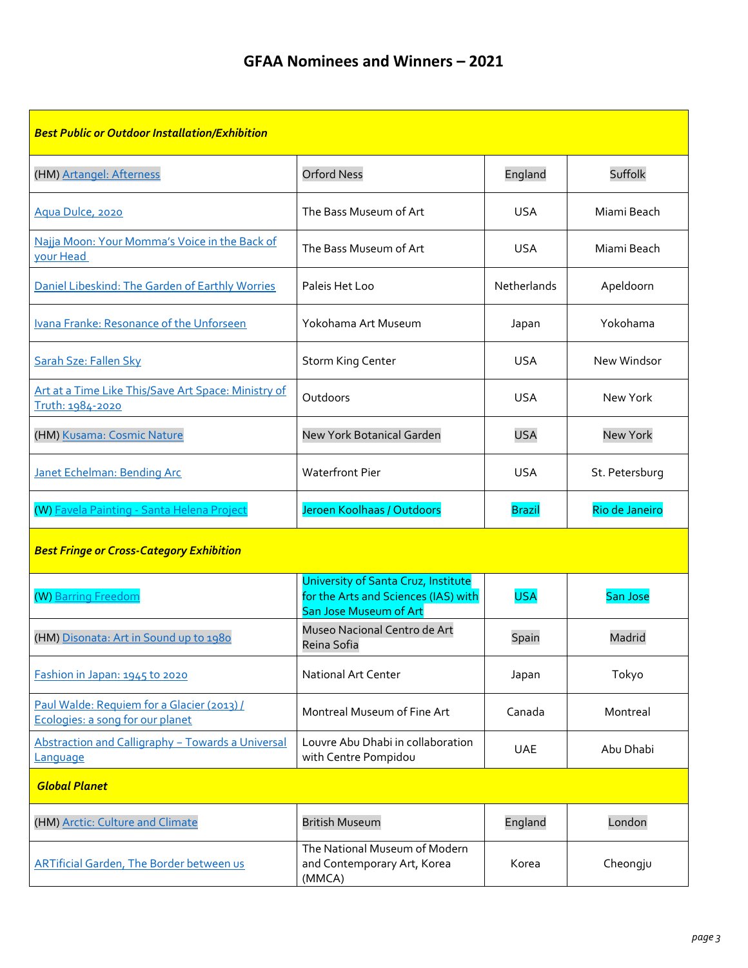## **GFAA Nominees and Winners – 2021**

| <b>Best Public or Outdoor Installation/Exhibition</b>                          |                                                                                                       |               |                 |
|--------------------------------------------------------------------------------|-------------------------------------------------------------------------------------------------------|---------------|-----------------|
| (HM) Artangel: Afterness                                                       | <b>Orford Ness</b>                                                                                    | England       | Suffolk         |
| Aqua Dulce, 2020                                                               | The Bass Museum of Art                                                                                | <b>USA</b>    | Miami Beach     |
| Najja Moon: Your Momma's Voice in the Back of<br>your Head                     | The Bass Museum of Art                                                                                | <b>USA</b>    | Miami Beach     |
| Daniel Libeskind: The Garden of Earthly Worries                                | Paleis Het Loo                                                                                        | Netherlands   | Apeldoorn       |
| Ivana Franke: Resonance of the Unforseen                                       | Yokohama Art Museum                                                                                   | Japan         | Yokohama        |
| Sarah Sze: Fallen Sky                                                          | <b>Storm King Center</b>                                                                              | <b>USA</b>    | New Windsor     |
| Art at a Time Like This/Save Art Space: Ministry of<br>Truth: 1984-2020        | Outdoors                                                                                              | <b>USA</b>    | New York        |
| (HM) Kusama: Cosmic Nature                                                     | <b>New York Botanical Garden</b>                                                                      | <b>USA</b>    | <b>New York</b> |
| <b>Janet Echelman: Bending Arc</b>                                             | <b>Waterfront Pier</b>                                                                                | <b>USA</b>    | St. Petersburg  |
|                                                                                |                                                                                                       |               |                 |
| (W) Favela Painting - Santa Helena Project                                     | Jeroen Koolhaas / Outdoors                                                                            | <b>Brazil</b> | Rio de Janeiro  |
| <b>Best Fringe or Cross-Category Exhibition</b>                                |                                                                                                       |               |                 |
| (W) Barring Freedom                                                            | University of Santa Cruz, Institute<br>for the Arts and Sciences (IAS) with<br>San Jose Museum of Art | <b>USA</b>    | San Jose        |
| (HM) Disonata: Art in Sound up to 1980                                         | Museo Nacional Centro de Art<br>Reina Sofia                                                           | Spain         | Madrid          |
| Fashion in Japan: 1945 to 2020                                                 | National Art Center                                                                                   | Japan         | Tokyo           |
| Paul Walde: Requiem for a Glacier (2013) /<br>Ecologies: a song for our planet | Montreal Museum of Fine Art                                                                           | Canada        | Montreal        |
| Abstraction and Calligraphy - Towards a Universal<br>Lanquage                  | Louvre Abu Dhabi in collaboration<br>with Centre Pompidou                                             | <b>UAE</b>    | Abu Dhabi       |
| <b>Global Planet</b>                                                           |                                                                                                       |               |                 |
| (HM) Arctic: Culture and Climate                                               | <b>British Museum</b>                                                                                 | England       | London          |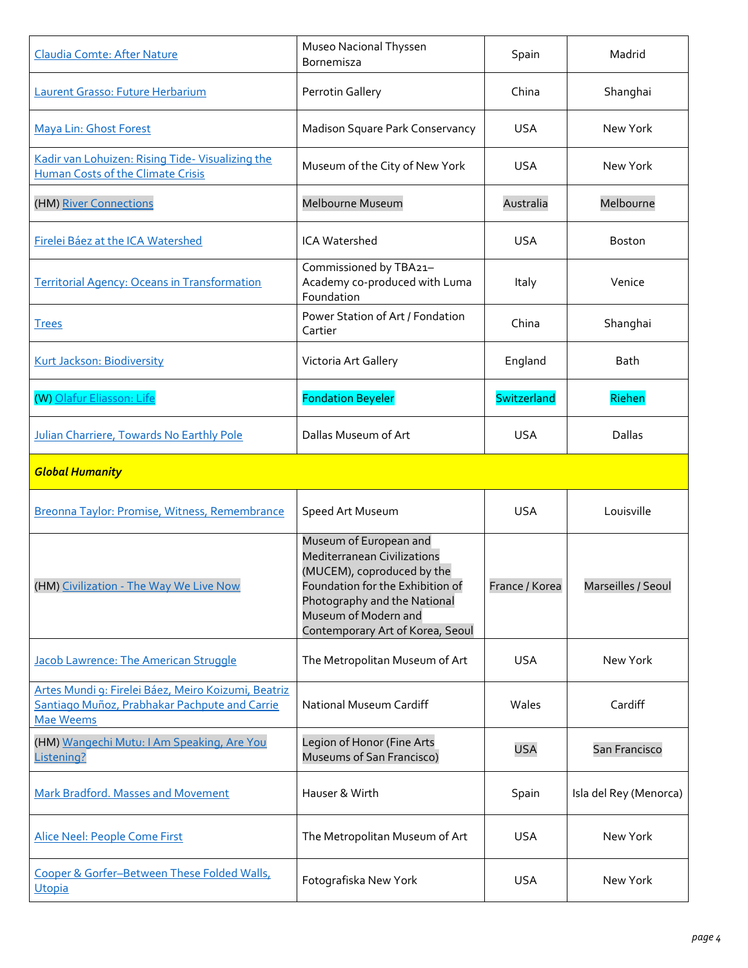| Claudia Comte: After Nature                                                                                              | Museo Nacional Thyssen<br>Bornemisza                                                                                                                                                                                       | Spain          | Madrid                 |
|--------------------------------------------------------------------------------------------------------------------------|----------------------------------------------------------------------------------------------------------------------------------------------------------------------------------------------------------------------------|----------------|------------------------|
| Laurent Grasso: Future Herbarium                                                                                         | Perrotin Gallery                                                                                                                                                                                                           | China          | Shanghai               |
| <b>Maya Lin: Ghost Forest</b>                                                                                            | Madison Square Park Conservancy                                                                                                                                                                                            | <b>USA</b>     | New York               |
| Kadir van Lohuizen: Rising Tide- Visualizing the<br><b>Human Costs of the Climate Crisis</b>                             | Museum of the City of New York                                                                                                                                                                                             | <b>USA</b>     | New York               |
| (HM) River Connections                                                                                                   | Melbourne Museum                                                                                                                                                                                                           | Australia      | Melbourne              |
| Firelei Báez at the ICA Watershed                                                                                        | <b>ICA Watershed</b>                                                                                                                                                                                                       | <b>USA</b>     | <b>Boston</b>          |
| <b>Territorial Agency: Oceans in Transformation</b>                                                                      | Commissioned by TBA21-<br>Academy co-produced with Luma<br>Foundation                                                                                                                                                      | Italy          | Venice                 |
| <b>Trees</b>                                                                                                             | Power Station of Art / Fondation<br>Cartier                                                                                                                                                                                | China          | Shanghai               |
| Kurt Jackson: Biodiversity                                                                                               | Victoria Art Gallery                                                                                                                                                                                                       | England        | <b>Bath</b>            |
| (W) Olafur Eliasson: Life                                                                                                | <b>Fondation Beyeler</b>                                                                                                                                                                                                   | Switzerland    | Riehen                 |
| Julian Charriere, Towards No Earthly Pole                                                                                | Dallas Museum of Art                                                                                                                                                                                                       | <b>USA</b>     | Dallas                 |
| <b>Global Humanity</b>                                                                                                   |                                                                                                                                                                                                                            |                |                        |
| Breonna Taylor: Promise, Witness, Remembrance                                                                            | Speed Art Museum                                                                                                                                                                                                           | <b>USA</b>     | Louisville             |
| (HM) Civilization - The Way We Live Now                                                                                  | Museum of European and<br><b>Mediterranean Civilizations</b><br>(MUCEM), coproduced by the<br>Foundation for the Exhibition of<br>Photography and the National<br>Museum of Modern and<br>Contemporary Art of Korea, Seoul | France / Korea | Marseilles / Seoul     |
| <b>Jacob Lawrence: The American Struggle</b>                                                                             | The Metropolitan Museum of Art                                                                                                                                                                                             | <b>USA</b>     | New York               |
| Artes Mundi 9: Firelei Báez, Meiro Koizumi, Beatriz<br>Santiago Muñoz, Prabhakar Pachpute and Carrie<br><b>Mae Weems</b> | National Museum Cardiff                                                                                                                                                                                                    | Wales          | Cardiff                |
| (HM) Wangechi Mutu: I Am Speaking, Are You<br>Listening?                                                                 | Legion of Honor (Fine Arts<br>Museums of San Francisco)                                                                                                                                                                    | <b>USA</b>     | San Francisco          |
| Mark Bradford. Masses and Movement                                                                                       | Hauser & Wirth                                                                                                                                                                                                             | Spain          | Isla del Rey (Menorca) |
| Alice Neel: People Come First                                                                                            | The Metropolitan Museum of Art                                                                                                                                                                                             | <b>USA</b>     | New York               |
| Cooper & Gorfer-Between These Folded Walls,                                                                              |                                                                                                                                                                                                                            |                |                        |